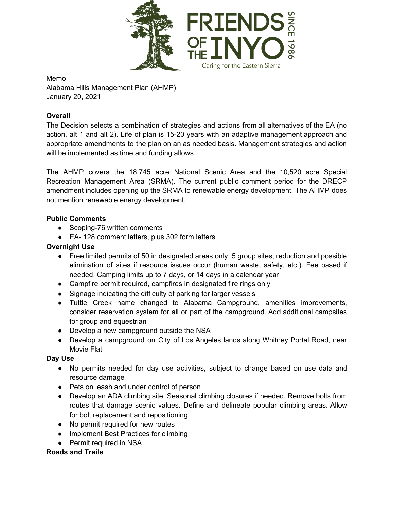

Memo Alabama Hills Management Plan (AHMP) January 20, 2021

### **Overall**

The Decision selects a combination of strategies and actions from all alternatives of the EA (no action, alt 1 and alt 2). Life of plan is 15-20 years with an adaptive management approach and appropriate amendments to the plan on an as needed basis. Management strategies and action will be implemented as time and funding allows.

The AHMP covers the 18,745 acre National Scenic Area and the 10,520 acre Special Recreation Management Area (SRMA). The current public comment period for the DRECP amendment includes opening up the SRMA to renewable energy development. The AHMP does not mention renewable energy development.

#### **Public Comments**

- Scoping-76 written comments
- EA- 128 comment letters, plus 302 form letters

## **Overnight Use**

- Free limited permits of 50 in designated areas only, 5 group sites, reduction and possible elimination of sites if resource issues occur (human waste, safety, etc.). Fee based if needed. Camping limits up to 7 days, or 14 days in a calendar year
- Campfire permit required, campfires in designated fire rings only
- Signage indicating the difficulty of parking for larger vessels
- Tuttle Creek name changed to Alabama Campground, amenities improvements, consider reservation system for all or part of the campground. Add additional campsites for group and equestrian
- Develop a new campground outside the NSA
- Develop a campground on City of Los Angeles lands along Whitney Portal Road, near Movie Flat

#### **Day Use**

- No permits needed for day use activities, subject to change based on use data and resource damage
- Pets on leash and under control of person
- Develop an ADA climbing site. Seasonal climbing closures if needed. Remove bolts from routes that damage scenic values. Define and delineate popular climbing areas. Allow for bolt replacement and repositioning
- No permit required for new routes
- Implement Best Practices for climbing
- Permit required in NSA

#### **Roads and Trails**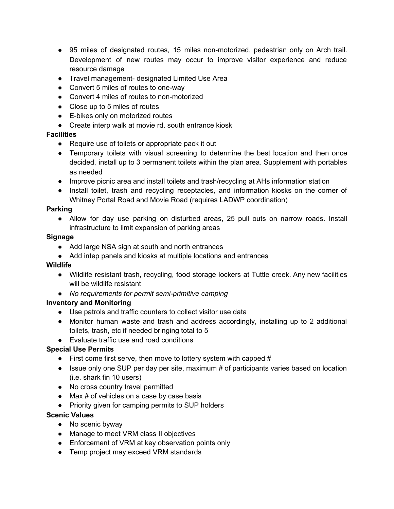- 95 miles of designated routes, 15 miles non-motorized, pedestrian only on Arch trail. Development of new routes may occur to improve visitor experience and reduce resource damage
- Travel management- designated Limited Use Area
- Convert 5 miles of routes to one-way
- Convert 4 miles of routes to non-motorized
- Close up to 5 miles of routes
- E-bikes only on motorized routes
- Create interp walk at movie rd. south entrance kiosk

#### **Facilities**

- Require use of toilets or appropriate pack it out
- Temporary toilets with visual screening to determine the best location and then once decided, install up to 3 permanent toilets within the plan area. Supplement with portables as needed
- Improve picnic area and install toilets and trash/recycling at AHs information station
- Install toilet, trash and recycling receptacles, and information kiosks on the corner of Whitney Portal Road and Movie Road (requires LADWP coordination)

#### **Parking**

● Allow for day use parking on disturbed areas, 25 pull outs on narrow roads. Install infrastructure to limit expansion of parking areas

#### **Signage**

- Add large NSA sign at south and north entrances
- Add intep panels and kiosks at multiple locations and entrances

#### **Wildlife**

- Wildlife resistant trash, recycling, food storage lockers at Tuttle creek. Any new facilities will be wildlife resistant
- *No requirements for permit semi-primitive camping*

#### **Inventory and Monitoring**

- Use patrols and traffic counters to collect visitor use data
- Monitor human waste and trash and address accordingly, installing up to 2 additional toilets, trash, etc if needed bringing total to 5
- Evaluate traffic use and road conditions

# **Special Use Permits**

- $\bullet$  First come first serve, then move to lottery system with capped #
- Issue only one SUP per day per site, maximum # of participants varies based on location (i.e. shark fin 10 users)
- No cross country travel permitted
- Max # of vehicles on a case by case basis
- Priority given for camping permits to SUP holders

#### **Scenic Values**

- No scenic byway
- Manage to meet VRM class II objectives
- Enforcement of VRM at key observation points only
- Temp project may exceed VRM standards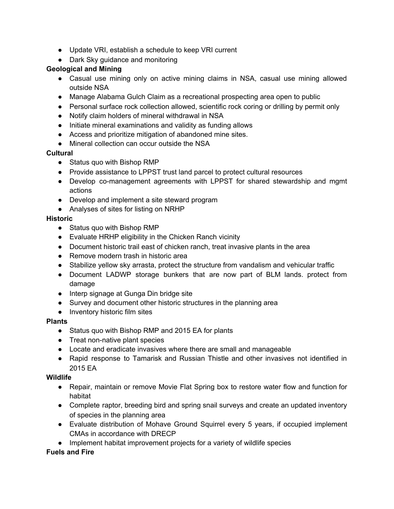- Update VRI, establish a schedule to keep VRI current
- Dark Sky guidance and monitoring

#### **Geological and Mining**

- Casual use mining only on active mining claims in NSA, casual use mining allowed outside NSA
- Manage Alabama Gulch Claim as a recreational prospecting area open to public
- Personal surface rock collection allowed, scientific rock coring or drilling by permit only
- Notify claim holders of mineral withdrawal in NSA
- Initiate mineral examinations and validity as funding allows
- Access and prioritize mitigation of abandoned mine sites.
- Mineral collection can occur outside the NSA

#### **Cultural**

- Status quo with Bishop RMP
- Provide assistance to LPPST trust land parcel to protect cultural resources
- Develop co-management agreements with LPPST for shared stewardship and mgmt actions
- Develop and implement a site steward program
- Analyses of sites for listing on NRHP

## **Historic**

- Status quo with Bishop RMP
- Evaluate HRHP eligibility in the Chicken Ranch vicinity
- Document historic trail east of chicken ranch, treat invasive plants in the area
- Remove modern trash in historic area
- Stabilize yellow sky arrasta, protect the structure from vandalism and vehicular traffic
- Document LADWP storage bunkers that are now part of BLM lands. protect from damage
- Interp signage at Gunga Din bridge site
- Survey and document other historic structures in the planning area
- Inventory historic film sites

#### **Plants**

- Status quo with Bishop RMP and 2015 EA for plants
- Treat non-native plant species
- Locate and eradicate invasives where there are small and manageable
- Rapid response to Tamarisk and Russian Thistle and other invasives not identified in 2015 EA

#### **Wildlife**

- Repair, maintain or remove Movie Flat Spring box to restore water flow and function for habitat
- Complete raptor, breeding bird and spring snail surveys and create an updated inventory of species in the planning area
- Evaluate distribution of Mohave Ground Squirrel every 5 years, if occupied implement CMAs in accordance with DRECP
- Implement habitat improvement projects for a variety of wildlife species

# **Fuels and Fire**